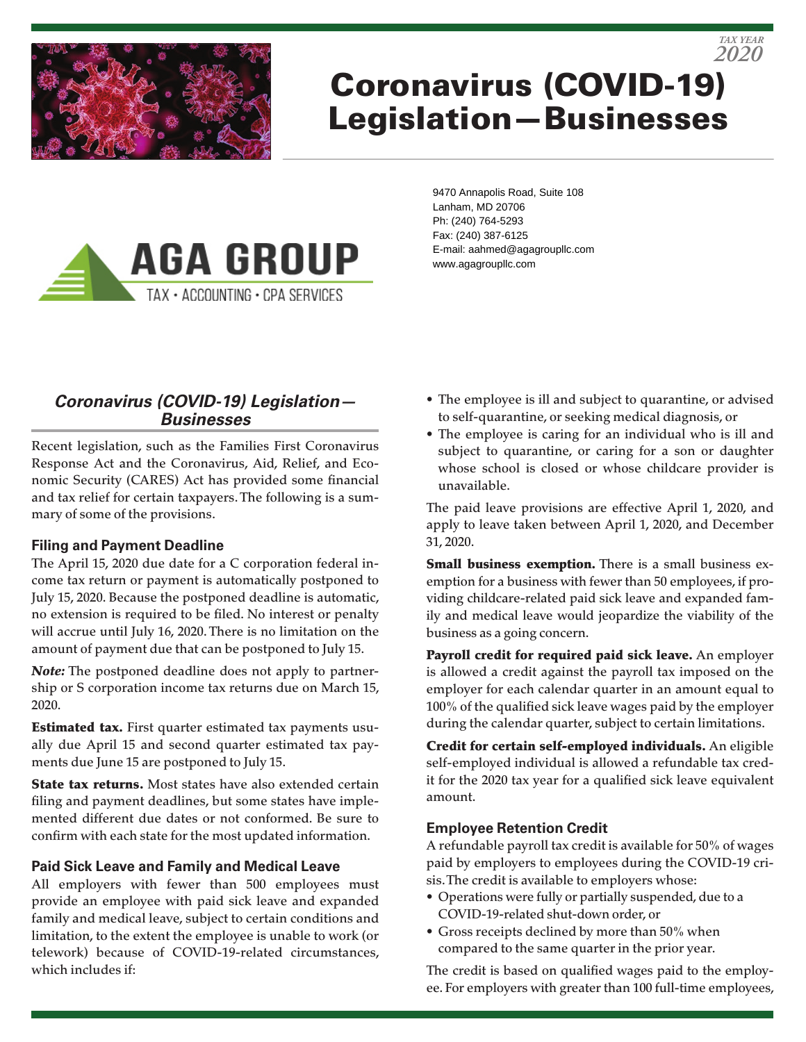

# Coronavirus (COVID-19) Legislation—Businesses



9470 Annapolis Road, Suite 108 Lanham, MD 20706 Ph: (240) 764-5293 Fax: (240) 387-6125 E-mail: aahmed@agagroupllc.com www.agagroupllc.com

# *Coronavirus (COVID-19) Legislation— Businesses*

Recent legislation, such as the Families First Coronavirus Response Act and the Coronavirus, Aid, Relief, and Economic Security (CARES) Act has provided some financial and tax relief for certain taxpayers. The following is a summary of some of the provisions.

# **Filing and Payment Deadline**

The April 15, 2020 due date for a C corporation federal income tax return or payment is automatically postponed to July 15, 2020. Because the postponed deadline is automatic, no extension is required to be filed. No interest or penalty will accrue until July 16, 2020. There is no limitation on the amount of payment due that can be postponed to July 15.

*Note:* The postponed deadline does not apply to partnership or S corporation income tax returns due on March 15, 2020.

**Estimated tax.** First quarter estimated tax payments usually due April 15 and second quarter estimated tax payments due June 15 are postponed to July 15.

**State tax returns.** Most states have also extended certain filing and payment deadlines, but some states have implemented different due dates or not conformed. Be sure to confirm with each state for the most updated information.

# **Paid Sick Leave and Family and Medical Leave**

All employers with fewer than 500 employees must provide an employee with paid sick leave and expanded family and medical leave, subject to certain conditions and limitation, to the extent the employee is unable to work (or telework) because of COVID-19-related circumstances, which includes if:

• The employee is ill and subject to quarantine, or advised to self-quarantine, or seeking medical diagnosis, or

*2020 TAX YEAR*

• The employee is caring for an individual who is ill and subject to quarantine, or caring for a son or daughter whose school is closed or whose childcare provider is unavailable.

The paid leave provisions are effective April 1, 2020, and apply to leave taken between April 1, 2020, and December 31, 2020.

**Small business exemption.** There is a small business exemption for a business with fewer than 50 employees, if providing childcare-related paid sick leave and expanded family and medical leave would jeopardize the viability of the business as a going concern.

Payroll credit for required paid sick leave. An employer is allowed a credit against the payroll tax imposed on the employer for each calendar quarter in an amount equal to 100% of the qualified sick leave wages paid by the employer during the calendar quarter, subject to certain limitations.

Credit for certain self-employed individuals. An eligible self-employed individual is allowed a refundable tax credit for the 2020 tax year for a qualified sick leave equivalent amount.

# **Employee Retention Credit**

A refundable payroll tax credit is available for 50% of wages paid by employers to employees during the COVID-19 crisis. The credit is available to employers whose:

- Operations were fully or partially suspended, due to a COVID-19-related shut-down order, or
- Gross receipts declined by more than 50% when compared to the same quarter in the prior year.

The credit is based on qualified wages paid to the employee. For employers with greater than 100 full-time employees,